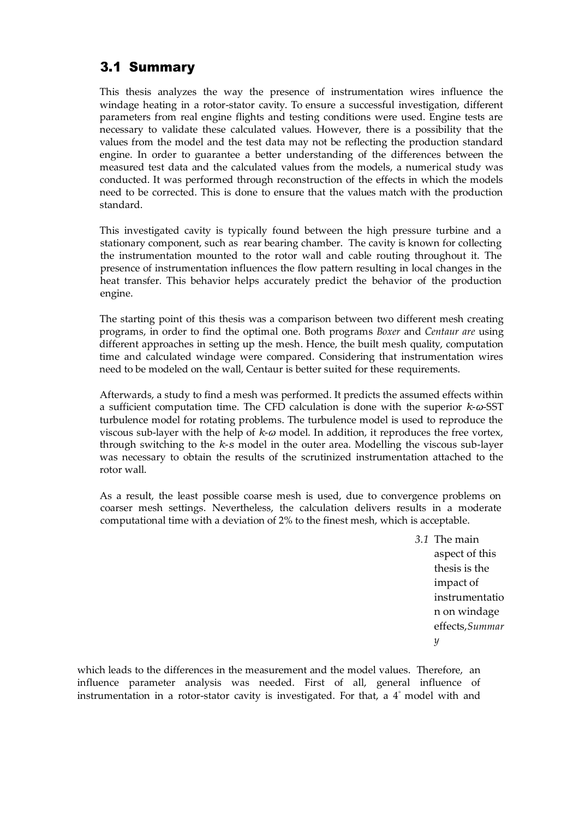## 3.1 Summary

This thesis analyzes the way the presence of instrumentation wires influence the windage heating in a rotor-stator cavity. To ensure a successful investigation, different parameters from real engine flights and testing conditions were used. Engine tests are necessary to validate these calculated values. However, there is a possibility that the values from the model and the test data may not be reflecting the production standard engine. In order to guarantee a better understanding of the differences between the measured test data and the calculated values from the models, a numerical study was conducted. It was performed through reconstruction of the effects in which the models need to be corrected. This is done to ensure that the values match with the production standard.

This investigated cavity is typically found between the high pressure turbine and a stationary component, such as rear bearing chamber. The cavity is known for collecting the instrumentation mounted to the rotor wall and cable routing throughout it. The presence of instrumentation influences the flow pattern resulting in local changes in the heat transfer. This behavior helps accurately predict the behavior of the production engine.

The starting point of this thesis was a comparison between two different mesh creating programs, in order to find the optimal one. Both programs *Boxer* and *Centaur are* using different approaches in setting up the mesh. Hence, the built mesh quality, computation time and calculated windage were compared. Considering that instrumentation wires need to be modeled on the wall, Centaur is better suited for these requirements.

Afterwards, a study to find a mesh was performed. It predicts the assumed effects within a sufficient computation time. The CFD calculation is done with the superior *k*-*ω*-SST turbulence model for rotating problems. The turbulence model is used to reproduce the viscous sub-layer with the help of *k*-*ω* model. In addition, it reproduces the free vortex, through switching to the *k*-*s* model in the outer area. Modelling the viscous sub-layer was necessary to obtain the results of the scrutinized instrumentation attached to the rotor wall.

As a result, the least possible coarse mesh is used, due to convergence problems on coarser mesh settings. Nevertheless, the calculation delivers results in a moderate computational time with a deviation of 2% to the finest mesh, which is acceptable.

> *3.1* The main aspect of this thesis is the impact of instrumentatio n on windage effects,*Summar y*

which leads to the differences in the measurement and the model values. Therefore, an influence parameter analysis was needed. First of all, general influence of instrumentation in a rotor-stator cavity is investigated. For that, a 4*◦* model with and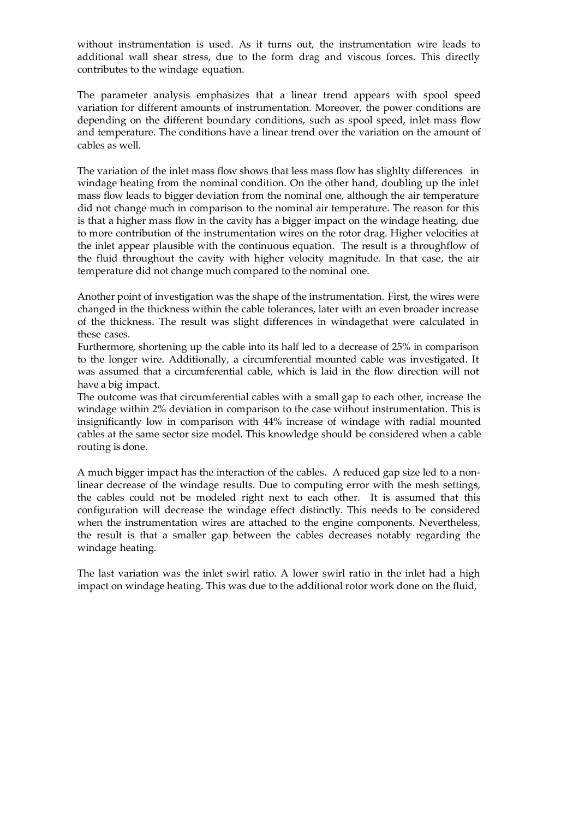without instrumentation is used. As it turns out, the instrumentation wire leads to additional wall shear stress, due to the form drag and viscous forces. This directly contributes to the windage equation.

The parameter analysis emphasizes that a linear trend appears with spool speed variation for different amounts of instrumentation. Moreover, the power conditions are depending on the different boundary conditions, such as spool speed, inlet mass flow and temperature. The conditions have a linear trend over the variation on the amount of cables as well.

The variation of the inlet mass flow shows that less mass flow has slighlty differences in windage heating from the nominal condition. On the other hand, doubling up the inlet mass flow leads to bigger deviation from the nominal one, although the air temperature did not change much in comparison to the nominal air temperature. The reason for this is that a higher mass flow in the cavity has a bigger impact on the windage heating, due to more contribution of the instrumentation wires on the rotor drag. Higher velocities at the inlet appear plausible with the continuous equation. The result is a throughflow of the fluid throughout the cavity with higher velocity magnitude. In that case, the air temperature did not change much compared to the nominal one.

Another point of investigation was the shape of the instrumentation. First, the wires were changed in the thickness within the cable tolerances, later with an even broader increase of the thickness. The result was slight differences in windagethat were calculated in these cases.

Furthermore, shortening up the cable into its half led to a decrease of 25% in comparison to the longer wire. Additionally, a circumferential mounted cable was investigated. It was assumed that a circumferential cable, which is laid in the flow direction will not have a big impact.

The outcome was that circumferential cables with a small gap to each other, increase the windage within 2% deviation in comparison to the case without instrumentation. This is insignificantly low in comparison with 44% increase of windage with radial mounted cables at the same sector size model. This knowledge should be considered when a cable routing is done.

A much bigger impact has the interaction of the cables. A reduced gap size led to a nonlinear decrease of the windage results. Due to computing error with the mesh settings, the cables could not be modeled right next to each other. It is assumed that this configuration will decrease the windage effect distinctly. This needs to be considered when the instrumentation wires are attached to the engine components. Nevertheless, the result is that a smaller gap between the cables decreases notably regarding the windage heating.

The last variation was the inlet swirl ratio. A lower swirl ratio in the inlet had a high impact on windage heating. This was due to the additional rotor work done on the fluid,